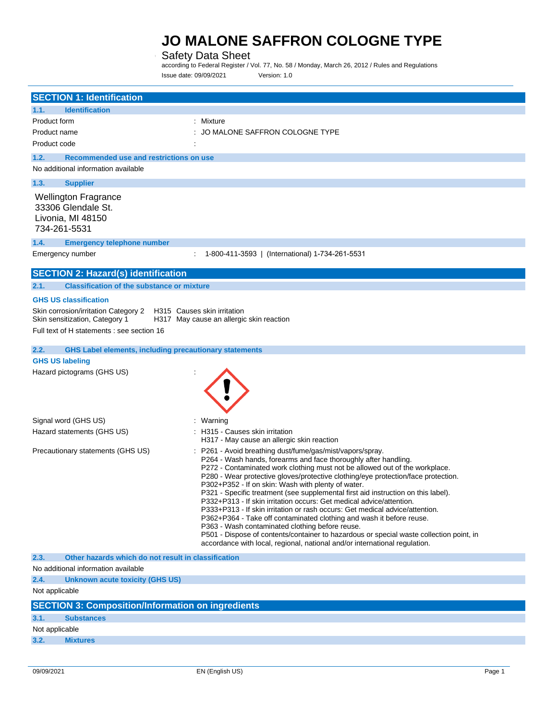### Safety Data Sheet

according to Federal Register / Vol. 77, No. 58 / Monday, March 26, 2012 / Rules and Regulations Issue date: 09/09/2021 Version: 1.0

|                                                         | <b>SECTION 1: Identification</b>                                       |                                                                                                                                                                                                                                                                                                                                                                                                                                                                                                                                                                                                                                                                                                                                                                                                                                                                                                         |
|---------------------------------------------------------|------------------------------------------------------------------------|---------------------------------------------------------------------------------------------------------------------------------------------------------------------------------------------------------------------------------------------------------------------------------------------------------------------------------------------------------------------------------------------------------------------------------------------------------------------------------------------------------------------------------------------------------------------------------------------------------------------------------------------------------------------------------------------------------------------------------------------------------------------------------------------------------------------------------------------------------------------------------------------------------|
|                                                         |                                                                        |                                                                                                                                                                                                                                                                                                                                                                                                                                                                                                                                                                                                                                                                                                                                                                                                                                                                                                         |
| 1.1.                                                    | <b>Identification</b>                                                  |                                                                                                                                                                                                                                                                                                                                                                                                                                                                                                                                                                                                                                                                                                                                                                                                                                                                                                         |
| Product form                                            |                                                                        | : Mixture                                                                                                                                                                                                                                                                                                                                                                                                                                                                                                                                                                                                                                                                                                                                                                                                                                                                                               |
| Product name                                            |                                                                        | JO MALONE SAFFRON COLOGNE TYPE                                                                                                                                                                                                                                                                                                                                                                                                                                                                                                                                                                                                                                                                                                                                                                                                                                                                          |
| Product code                                            |                                                                        |                                                                                                                                                                                                                                                                                                                                                                                                                                                                                                                                                                                                                                                                                                                                                                                                                                                                                                         |
| 1.2.                                                    | Recommended use and restrictions on use                                |                                                                                                                                                                                                                                                                                                                                                                                                                                                                                                                                                                                                                                                                                                                                                                                                                                                                                                         |
|                                                         | No additional information available                                    |                                                                                                                                                                                                                                                                                                                                                                                                                                                                                                                                                                                                                                                                                                                                                                                                                                                                                                         |
| 1.3.                                                    | <b>Supplier</b>                                                        |                                                                                                                                                                                                                                                                                                                                                                                                                                                                                                                                                                                                                                                                                                                                                                                                                                                                                                         |
| 33306 Glendale St.<br>Livonia, MI 48150<br>734-261-5531 | <b>Wellington Fragrance</b>                                            |                                                                                                                                                                                                                                                                                                                                                                                                                                                                                                                                                                                                                                                                                                                                                                                                                                                                                                         |
| 1.4.                                                    | <b>Emergency telephone number</b>                                      |                                                                                                                                                                                                                                                                                                                                                                                                                                                                                                                                                                                                                                                                                                                                                                                                                                                                                                         |
| Emergency number                                        |                                                                        | 1-800-411-3593   (International) 1-734-261-5531                                                                                                                                                                                                                                                                                                                                                                                                                                                                                                                                                                                                                                                                                                                                                                                                                                                         |
|                                                         | <b>SECTION 2: Hazard(s) identification</b>                             |                                                                                                                                                                                                                                                                                                                                                                                                                                                                                                                                                                                                                                                                                                                                                                                                                                                                                                         |
| 2.1.                                                    | <b>Classification of the substance or mixture</b>                      |                                                                                                                                                                                                                                                                                                                                                                                                                                                                                                                                                                                                                                                                                                                                                                                                                                                                                                         |
| <b>GHS US classification</b>                            |                                                                        |                                                                                                                                                                                                                                                                                                                                                                                                                                                                                                                                                                                                                                                                                                                                                                                                                                                                                                         |
|                                                         | Skin corrosion/irritation Category 2<br>Skin sensitization, Category 1 | H315 Causes skin irritation<br>H317 May cause an allergic skin reaction                                                                                                                                                                                                                                                                                                                                                                                                                                                                                                                                                                                                                                                                                                                                                                                                                                 |
|                                                         | Full text of H statements : see section 16                             |                                                                                                                                                                                                                                                                                                                                                                                                                                                                                                                                                                                                                                                                                                                                                                                                                                                                                                         |
| 2.2.                                                    | <b>GHS Label elements, including precautionary statements</b>          |                                                                                                                                                                                                                                                                                                                                                                                                                                                                                                                                                                                                                                                                                                                                                                                                                                                                                                         |
| <b>GHS US labeling</b>                                  |                                                                        |                                                                                                                                                                                                                                                                                                                                                                                                                                                                                                                                                                                                                                                                                                                                                                                                                                                                                                         |
|                                                         | Hazard pictograms (GHS US)                                             |                                                                                                                                                                                                                                                                                                                                                                                                                                                                                                                                                                                                                                                                                                                                                                                                                                                                                                         |
| Signal word (GHS US)                                    |                                                                        | : Warning                                                                                                                                                                                                                                                                                                                                                                                                                                                                                                                                                                                                                                                                                                                                                                                                                                                                                               |
|                                                         | Hazard statements (GHS US)                                             | : H315 - Causes skin irritation<br>H317 - May cause an allergic skin reaction                                                                                                                                                                                                                                                                                                                                                                                                                                                                                                                                                                                                                                                                                                                                                                                                                           |
|                                                         | Precautionary statements (GHS US)                                      | : P261 - Avoid breathing dust/fume/gas/mist/vapors/spray.<br>P264 - Wash hands, forearms and face thoroughly after handling.<br>P272 - Contaminated work clothing must not be allowed out of the workplace.<br>P280 - Wear protective gloves/protective clothing/eye protection/face protection.<br>P302+P352 - If on skin: Wash with plenty of water.<br>P321 - Specific treatment (see supplemental first aid instruction on this label).<br>P332+P313 - If skin irritation occurs: Get medical advice/attention.<br>P333+P313 - If skin irritation or rash occurs: Get medical advice/attention.<br>P362+P364 - Take off contaminated clothing and wash it before reuse.<br>P363 - Wash contaminated clothing before reuse.<br>P501 - Dispose of contents/container to hazardous or special waste collection point, in<br>accordance with local, regional, national and/or international regulation. |
| 2.3.                                                    | Other hazards which do not result in classification                    |                                                                                                                                                                                                                                                                                                                                                                                                                                                                                                                                                                                                                                                                                                                                                                                                                                                                                                         |
|                                                         | No additional information available                                    |                                                                                                                                                                                                                                                                                                                                                                                                                                                                                                                                                                                                                                                                                                                                                                                                                                                                                                         |
| 2.4.                                                    | Unknown acute toxicity (GHS US)                                        |                                                                                                                                                                                                                                                                                                                                                                                                                                                                                                                                                                                                                                                                                                                                                                                                                                                                                                         |
| Not applicable                                          |                                                                        |                                                                                                                                                                                                                                                                                                                                                                                                                                                                                                                                                                                                                                                                                                                                                                                                                                                                                                         |
|                                                         | <b>SECTION 3: Composition/Information on ingredients</b>               |                                                                                                                                                                                                                                                                                                                                                                                                                                                                                                                                                                                                                                                                                                                                                                                                                                                                                                         |
| 3.1.                                                    | <b>Substances</b>                                                      |                                                                                                                                                                                                                                                                                                                                                                                                                                                                                                                                                                                                                                                                                                                                                                                                                                                                                                         |
| Not applicable                                          |                                                                        |                                                                                                                                                                                                                                                                                                                                                                                                                                                                                                                                                                                                                                                                                                                                                                                                                                                                                                         |
| 3.2.                                                    | <b>Mixtures</b>                                                        |                                                                                                                                                                                                                                                                                                                                                                                                                                                                                                                                                                                                                                                                                                                                                                                                                                                                                                         |
|                                                         |                                                                        |                                                                                                                                                                                                                                                                                                                                                                                                                                                                                                                                                                                                                                                                                                                                                                                                                                                                                                         |

 $\overline{\phantom{a}}$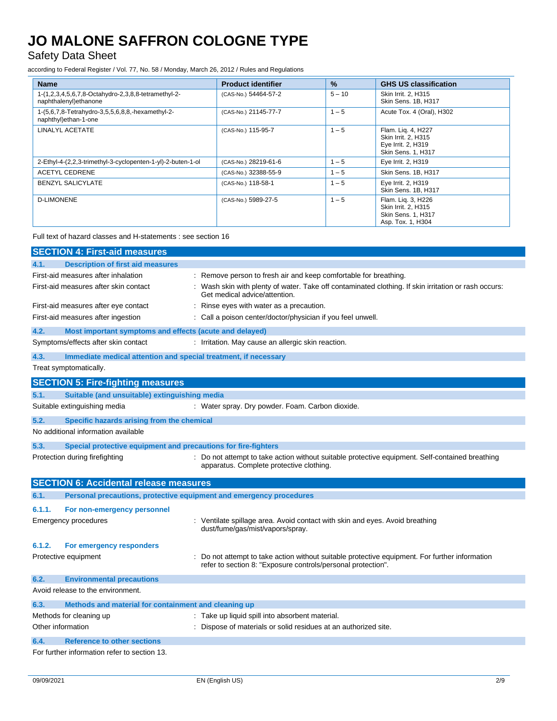Safety Data Sheet

according to Federal Register / Vol. 77, No. 58 / Monday, March 26, 2012 / Rules and Regulations

| <b>Name</b>                                                                   | <b>Product identifier</b> | %        | <b>GHS US classification</b>                                                          |
|-------------------------------------------------------------------------------|---------------------------|----------|---------------------------------------------------------------------------------------|
| 1-(1,2,3,4,5,6,7,8-Octahydro-2,3,8,8-tetramethyl-2-<br>naphthalenyl) ethanone | (CAS-No.) 54464-57-2      | $5 - 10$ | Skin Irrit. 2, H315<br>Skin Sens. 1B, H317                                            |
| 1-(5,6,7,8-Tetrahydro-3,5,5,6,8,8,-hexamethyl-2-<br>naphthyl)ethan-1-one      | (CAS-No.) 21145-77-7      | $1 - 5$  | Acute Tox. 4 (Oral), H302                                                             |
| <b>LINALYL ACETATE</b>                                                        | (CAS-No.) 115-95-7        | $1 - 5$  | Flam. Lig. 4, H227<br>Skin Irrit. 2, H315<br>Eye Irrit. 2, H319<br>Skin Sens. 1, H317 |
| 2-Ethyl-4-(2,2,3-trimethyl-3-cyclopenten-1-yl)-2-buten-1-ol                   | (CAS-No.) 28219-61-6      | $1 - 5$  | Eye Irrit. 2, H319                                                                    |
| <b>ACETYL CEDRENE</b>                                                         | (CAS-No.) 32388-55-9      | $1 - 5$  | Skin Sens. 1B, H317                                                                   |
| <b>BENZYL SALICYLATE</b>                                                      | (CAS-No.) 118-58-1        | $1 - 5$  | Eye Irrit. 2, H319<br>Skin Sens. 1B, H317                                             |
| <b>D-LIMONENE</b>                                                             | (CAS-No.) 5989-27-5       | $1 - 5$  | Flam. Lig. 3, H226<br>Skin Irrit. 2, H315<br>Skin Sens. 1, H317<br>Asp. Tox. 1, H304  |

Full text of hazard classes and H-statements : see section 16

|        | <b>SECTION 4: First-aid measures</b>                                |                                                                                                                                                              |
|--------|---------------------------------------------------------------------|--------------------------------------------------------------------------------------------------------------------------------------------------------------|
| 4.1.   | <b>Description of first aid measures</b>                            |                                                                                                                                                              |
|        | First-aid measures after inhalation                                 | : Remove person to fresh air and keep comfortable for breathing.                                                                                             |
|        | First-aid measures after skin contact                               | : Wash skin with plenty of water. Take off contaminated clothing. If skin irritation or rash occurs:<br>Get medical advice/attention.                        |
|        | First-aid measures after eye contact                                | Rinse eyes with water as a precaution.                                                                                                                       |
|        | First-aid measures after ingestion                                  | : Call a poison center/doctor/physician if you feel unwell.                                                                                                  |
| 4.2.   | Most important symptoms and effects (acute and delayed)             |                                                                                                                                                              |
|        | Symptoms/effects after skin contact                                 | : Irritation. May cause an allergic skin reaction.                                                                                                           |
| 4.3.   | Immediate medical attention and special treatment, if necessary     |                                                                                                                                                              |
|        | Treat symptomatically.                                              |                                                                                                                                                              |
|        | <b>SECTION 5: Fire-fighting measures</b>                            |                                                                                                                                                              |
| 5.1.   | Suitable (and unsuitable) extinguishing media                       |                                                                                                                                                              |
|        | Suitable extinguishing media                                        | : Water spray. Dry powder. Foam. Carbon dioxide.                                                                                                             |
| 5.2.   | Specific hazards arising from the chemical                          |                                                                                                                                                              |
|        | No additional information available                                 |                                                                                                                                                              |
| 5.3.   | Special protective equipment and precautions for fire-fighters      |                                                                                                                                                              |
|        | Protection during firefighting                                      | : Do not attempt to take action without suitable protective equipment. Self-contained breathing<br>apparatus. Complete protective clothing.                  |
|        | <b>SECTION 6: Accidental release measures</b>                       |                                                                                                                                                              |
| 6.1.   | Personal precautions, protective equipment and emergency procedures |                                                                                                                                                              |
| 6.1.1. | For non-emergency personnel                                         |                                                                                                                                                              |
|        | <b>Emergency procedures</b>                                         | : Ventilate spillage area. Avoid contact with skin and eyes. Avoid breathing<br>dust/fume/gas/mist/vapors/spray.                                             |
| 6.1.2. | For emergency responders                                            |                                                                                                                                                              |
|        | Protective equipment                                                | Do not attempt to take action without suitable protective equipment. For further information<br>refer to section 8: "Exposure controls/personal protection". |
| 6.2.   | <b>Environmental precautions</b>                                    |                                                                                                                                                              |
|        | Avoid release to the environment.                                   |                                                                                                                                                              |
| 6.3.   | Methods and material for containment and cleaning up                |                                                                                                                                                              |
|        | Methods for cleaning up                                             | : Take up liquid spill into absorbent material.                                                                                                              |
|        | Other information                                                   | : Dispose of materials or solid residues at an authorized site.                                                                                              |
| 6.4.   | <b>Reference to other sections</b>                                  |                                                                                                                                                              |
|        | For further information refer to section 13.                        |                                                                                                                                                              |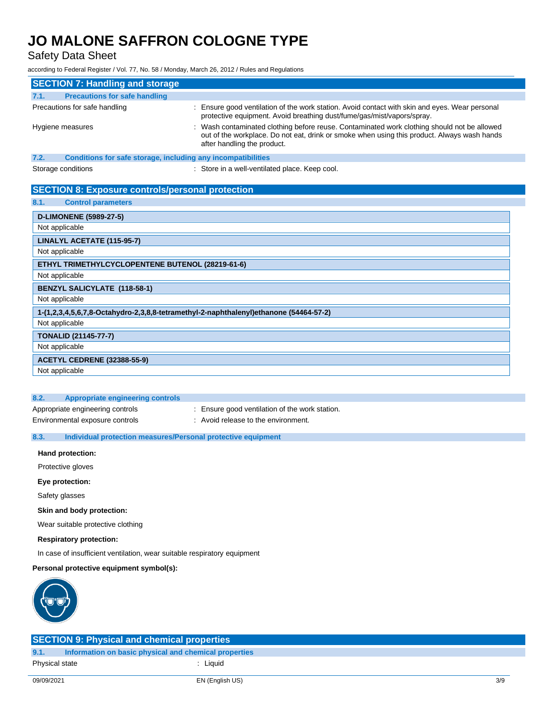Safety Data Sheet

according to Federal Register / Vol. 77, No. 58 / Monday, March 26, 2012 / Rules and Regulations

|                                                                                       | <b>SECTION 7: Handling and storage</b>                       |                                                                                                                                                                                                                           |  |
|---------------------------------------------------------------------------------------|--------------------------------------------------------------|---------------------------------------------------------------------------------------------------------------------------------------------------------------------------------------------------------------------------|--|
| 7.1.                                                                                  | <b>Precautions for safe handling</b>                         |                                                                                                                                                                                                                           |  |
| Precautions for safe handling                                                         |                                                              | Ensure good ventilation of the work station. Avoid contact with skin and eyes. Wear personal<br>protective equipment. Avoid breathing dust/fume/gas/mist/vapors/spray.                                                    |  |
| Hygiene measures                                                                      |                                                              | : Wash contaminated clothing before reuse. Contaminated work clothing should not be allowed<br>out of the workplace. Do not eat, drink or smoke when using this product. Always wash hands<br>after handling the product. |  |
| 7.2.                                                                                  | Conditions for safe storage, including any incompatibilities |                                                                                                                                                                                                                           |  |
| Storage conditions                                                                    |                                                              | : Store in a well-ventilated place. Keep cool.                                                                                                                                                                            |  |
|                                                                                       | <b>SECTION 8: Exposure controls/personal protection</b>      |                                                                                                                                                                                                                           |  |
| 8.1.                                                                                  | <b>Control parameters</b>                                    |                                                                                                                                                                                                                           |  |
| <b>D-LIMONENE (5989-27-5)</b>                                                         |                                                              |                                                                                                                                                                                                                           |  |
| Not applicable                                                                        |                                                              |                                                                                                                                                                                                                           |  |
| LINALYL ACETATE (115-95-7)                                                            |                                                              |                                                                                                                                                                                                                           |  |
| Not applicable                                                                        |                                                              |                                                                                                                                                                                                                           |  |
| ETHYL TRIMETHYLCYCLOPENTENE BUTENOL (28219-61-6)                                      |                                                              |                                                                                                                                                                                                                           |  |
| Not applicable                                                                        |                                                              |                                                                                                                                                                                                                           |  |
| <b>BENZYL SALICYLATE (118-58-1)</b>                                                   |                                                              |                                                                                                                                                                                                                           |  |
| Not applicable                                                                        |                                                              |                                                                                                                                                                                                                           |  |
| 1-(1,2,3,4,5,6,7,8-Octahydro-2,3,8,8-tetramethyl-2-naphthalenyl)ethanone (54464-57-2) |                                                              |                                                                                                                                                                                                                           |  |
| Not applicable                                                                        |                                                              |                                                                                                                                                                                                                           |  |
| <b>TONALID (21145-77-7)</b>                                                           |                                                              |                                                                                                                                                                                                                           |  |
| Not applicable                                                                        |                                                              |                                                                                                                                                                                                                           |  |
|                                                                                       | <b>ACETYL CEDRENE (32388-55-9)</b>                           |                                                                                                                                                                                                                           |  |
| Not applicable                                                                        |                                                              |                                                                                                                                                                                                                           |  |

| Appropriate engineering controls |  |  |
|----------------------------------|--|--|

- Appropriate engineering controls : Ensure good ventilation of the work station.
- Environmental exposure controls : Avoid release to the environment.

### **8.3. Individual protection measures/Personal protective equipment**

**Hand protection:**

Protective gloves

**Eye protection:**

Safety glasses

**Skin and body protection:**

Wear suitable protective clothing

**Respiratory protection:**

In case of insufficient ventilation, wear suitable respiratory equipment

### **Personal protective equipment symbol(s):**



| <b>SECTION 9: Physical and chemical properties</b> |                                                       |     |  |
|----------------------------------------------------|-------------------------------------------------------|-----|--|
| 9.1.                                               | Information on basic physical and chemical properties |     |  |
| Physical state                                     | : Liauid                                              |     |  |
|                                                    |                                                       |     |  |
| 09/09/2021                                         | EN (English US)                                       | 3/9 |  |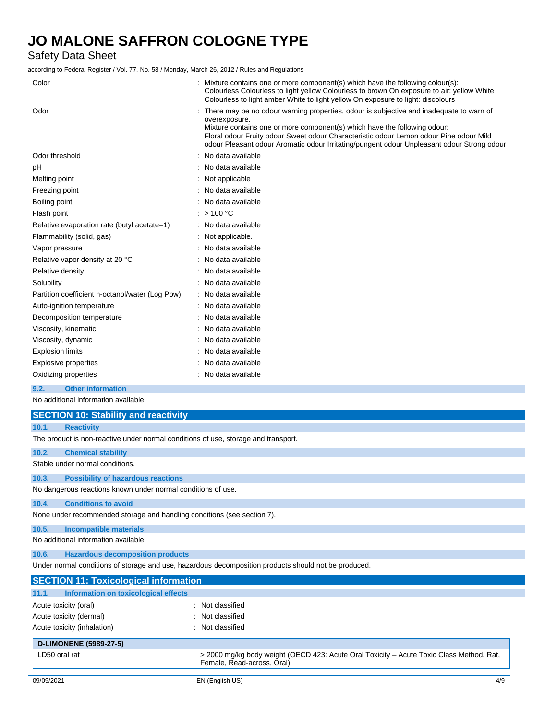Safety Data Sheet

according to Federal Register / Vol. 77, No. 58 / Monday, March 26, 2012 / Rules and Regulations

| Color                                           | Mixture contains one or more component(s) which have the following colour(s):<br>Colourless Colourless to light yellow Colourless to brown On exposure to air: yellow White<br>Colourless to light amber White to light yellow On exposure to light: discolours                                                                                                               |
|-------------------------------------------------|-------------------------------------------------------------------------------------------------------------------------------------------------------------------------------------------------------------------------------------------------------------------------------------------------------------------------------------------------------------------------------|
| Odor                                            | There may be no odour warning properties, odour is subjective and inadequate to warn of<br>overexposure.<br>Mixture contains one or more component(s) which have the following odour:<br>Floral odour Fruity odour Sweet odour Characteristic odour Lemon odour Pine odour Mild<br>odour Pleasant odour Aromatic odour Irritating/pungent odour Unpleasant odour Strong odour |
| Odor threshold                                  | No data available                                                                                                                                                                                                                                                                                                                                                             |
| рH                                              | : No data available                                                                                                                                                                                                                                                                                                                                                           |
| Melting point                                   | Not applicable                                                                                                                                                                                                                                                                                                                                                                |
| Freezing point                                  | No data available                                                                                                                                                                                                                                                                                                                                                             |
| Boiling point                                   | No data available                                                                                                                                                                                                                                                                                                                                                             |
| Flash point                                     | : $> 100 °C$                                                                                                                                                                                                                                                                                                                                                                  |
| Relative evaporation rate (butyl acetate=1)     | : No data available                                                                                                                                                                                                                                                                                                                                                           |
| Flammability (solid, gas)                       | Not applicable.                                                                                                                                                                                                                                                                                                                                                               |
| Vapor pressure                                  | No data available                                                                                                                                                                                                                                                                                                                                                             |
| Relative vapor density at 20 °C                 | No data available                                                                                                                                                                                                                                                                                                                                                             |
| Relative density                                | No data available                                                                                                                                                                                                                                                                                                                                                             |
| Solubility                                      | : No data available                                                                                                                                                                                                                                                                                                                                                           |
| Partition coefficient n-octanol/water (Log Pow) | : No data available                                                                                                                                                                                                                                                                                                                                                           |
| Auto-ignition temperature                       | : No data available                                                                                                                                                                                                                                                                                                                                                           |
| Decomposition temperature                       | No data available                                                                                                                                                                                                                                                                                                                                                             |
| Viscosity, kinematic                            | No data available                                                                                                                                                                                                                                                                                                                                                             |
| Viscosity, dynamic                              | No data available                                                                                                                                                                                                                                                                                                                                                             |
| <b>Explosion limits</b>                         | No data available                                                                                                                                                                                                                                                                                                                                                             |
| Explosive properties                            | No data available                                                                                                                                                                                                                                                                                                                                                             |
| Oxidizing properties                            | : No data available                                                                                                                                                                                                                                                                                                                                                           |
|                                                 |                                                                                                                                                                                                                                                                                                                                                                               |

**9.2. Other information**

No additional information available

|                                                                                                      | <b>SECTION 10: Stability and reactivity</b>                                        |                  |  |
|------------------------------------------------------------------------------------------------------|------------------------------------------------------------------------------------|------------------|--|
| 10.1.                                                                                                | <b>Reactivity</b>                                                                  |                  |  |
|                                                                                                      | The product is non-reactive under normal conditions of use, storage and transport. |                  |  |
| 10.2.                                                                                                | <b>Chemical stability</b>                                                          |                  |  |
|                                                                                                      | Stable under normal conditions.                                                    |                  |  |
| 10.3.                                                                                                | <b>Possibility of hazardous reactions</b>                                          |                  |  |
|                                                                                                      | No dangerous reactions known under normal conditions of use.                       |                  |  |
| 10.4.                                                                                                | <b>Conditions to avoid</b>                                                         |                  |  |
|                                                                                                      | None under recommended storage and handling conditions (see section 7).            |                  |  |
| 10.5.                                                                                                | <b>Incompatible materials</b>                                                      |                  |  |
|                                                                                                      | No additional information available                                                |                  |  |
| 10.6.                                                                                                | <b>Hazardous decomposition products</b>                                            |                  |  |
| Under normal conditions of storage and use, hazardous decomposition products should not be produced. |                                                                                    |                  |  |
|                                                                                                      | <b>SECTION 11: Toxicological information</b>                                       |                  |  |
| 11.1.                                                                                                | Information on toxicological effects                                               |                  |  |
|                                                                                                      | Acute toxicity (oral)                                                              | : Not classified |  |

| Acute toxicity (oral)         | - inol ciassified                                                                                                      |
|-------------------------------|------------------------------------------------------------------------------------------------------------------------|
| Acute toxicity (dermal)       | . Not classified                                                                                                       |
| Acute toxicity (inhalation)   | : Not classified                                                                                                       |
| <b>D-LIMONENE (5989-27-5)</b> |                                                                                                                        |
| LD50 oral rat                 | > 2000 mg/kg body weight (OECD 423: Acute Oral Toxicity – Acute Toxic Class Method, Rat,<br>Female, Read-across, Oral) |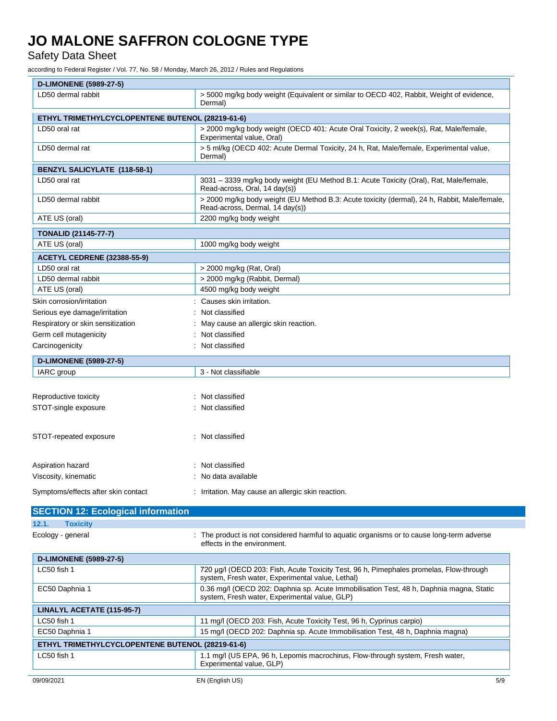Safety Data Sheet

according to Federal Register / Vol. 77, No. 58 / Monday, March 26, 2012 / Rules and Regulations

| <b>D-LIMONENE (5989-27-5)</b>                    |                                                                                                                                 |  |  |  |
|--------------------------------------------------|---------------------------------------------------------------------------------------------------------------------------------|--|--|--|
| LD50 dermal rabbit                               | > 5000 mg/kg body weight (Equivalent or similar to OECD 402, Rabbit, Weight of evidence,<br>Dermal)                             |  |  |  |
| ETHYL TRIMETHYLCYCLOPENTENE BUTENOL (28219-61-6) |                                                                                                                                 |  |  |  |
| LD50 oral rat                                    | > 2000 mg/kg body weight (OECD 401: Acute Oral Toxicity, 2 week(s), Rat, Male/female,<br>Experimental value, Oral)              |  |  |  |
| LD50 dermal rat                                  | > 5 ml/kg (OECD 402: Acute Dermal Toxicity, 24 h, Rat, Male/female, Experimental value,<br>Dermal)                              |  |  |  |
| <b>BENZYL SALICYLATE (118-58-1)</b>              |                                                                                                                                 |  |  |  |
| LD50 oral rat                                    | 3031 - 3339 mg/kg body weight (EU Method B.1: Acute Toxicity (Oral), Rat, Male/female,<br>Read-across, Oral, 14 day(s))         |  |  |  |
| LD50 dermal rabbit                               | > 2000 mg/kg body weight (EU Method B.3: Acute toxicity (dermal), 24 h, Rabbit, Male/female,<br>Read-across, Dermal, 14 day(s)) |  |  |  |
| ATE US (oral)                                    | 2200 mg/kg body weight                                                                                                          |  |  |  |
| <b>TONALID (21145-77-7)</b>                      |                                                                                                                                 |  |  |  |
| ATE US (oral)                                    | 1000 mg/kg body weight                                                                                                          |  |  |  |
| <b>ACETYL CEDRENE (32388-55-9)</b>               |                                                                                                                                 |  |  |  |
| LD50 oral rat                                    | > 2000 mg/kg (Rat, Oral)                                                                                                        |  |  |  |
| LD50 dermal rabbit                               | > 2000 mg/kg (Rabbit, Dermal)                                                                                                   |  |  |  |
| ATE US (oral)                                    | 4500 mg/kg body weight                                                                                                          |  |  |  |
| Skin corrosion/irritation                        | : Causes skin irritation.                                                                                                       |  |  |  |
| Serious eye damage/irritation                    | : Not classified                                                                                                                |  |  |  |
| Respiratory or skin sensitization                | May cause an allergic skin reaction.                                                                                            |  |  |  |
| Germ cell mutagenicity                           | Not classified                                                                                                                  |  |  |  |
| Carcinogenicity                                  | Not classified                                                                                                                  |  |  |  |
| <b>D-LIMONENE (5989-27-5)</b>                    |                                                                                                                                 |  |  |  |
| IARC group                                       | 3 - Not classifiable                                                                                                            |  |  |  |
|                                                  |                                                                                                                                 |  |  |  |
| Reproductive toxicity                            | : Not classified                                                                                                                |  |  |  |
| STOT-single exposure                             | : Not classified                                                                                                                |  |  |  |
|                                                  |                                                                                                                                 |  |  |  |
| STOT-repeated exposure                           | : Not classified                                                                                                                |  |  |  |
|                                                  |                                                                                                                                 |  |  |  |
| Aspiration hazard                                | : Not classified                                                                                                                |  |  |  |
| Viscosity, kinematic                             | No data available                                                                                                               |  |  |  |
| Symptoms/effects after skin contact              | : Irritation. May cause an allergic skin reaction.                                                                              |  |  |  |
| $A = A = 1A + 1A$                                |                                                                                                                                 |  |  |  |

|                   | <b>SECTION 12: Ecological information</b> |                                                                                                                           |
|-------------------|-------------------------------------------|---------------------------------------------------------------------------------------------------------------------------|
| 12.1.             | <b>Toxicity</b>                           |                                                                                                                           |
| Ecology - general |                                           | : The product is not considered harmful to aguatic organisms or to cause long-term adverse<br>effects in the environment. |

| <b>D-LIMONENE (5989-27-5)</b>                                                                                                              |  |  |
|--------------------------------------------------------------------------------------------------------------------------------------------|--|--|
| 720 µg/l (OECD 203: Fish, Acute Toxicity Test, 96 h, Pimephales promelas, Flow-through<br>system, Fresh water, Experimental value, Lethal) |  |  |
| 0.36 mg/l (OECD 202: Daphnia sp. Acute Immobilisation Test, 48 h, Daphnia magna, Static<br>system, Fresh water, Experimental value, GLP)   |  |  |
| LINALYL ACETATE (115-95-7)                                                                                                                 |  |  |
| 11 mg/l (OECD 203: Fish, Acute Toxicity Test, 96 h, Cyprinus carpio)                                                                       |  |  |
| 15 mg/l (OECD 202: Daphnia sp. Acute Immobilisation Test, 48 h, Daphnia magna)                                                             |  |  |
| ETHYL TRIMETHYLCYCLOPENTENE BUTENOL (28219-61-6)                                                                                           |  |  |
| 1.1 mg/l (US EPA, 96 h, Lepomis macrochirus, Flow-through system, Fresh water,<br>Experimental value, GLP)                                 |  |  |
|                                                                                                                                            |  |  |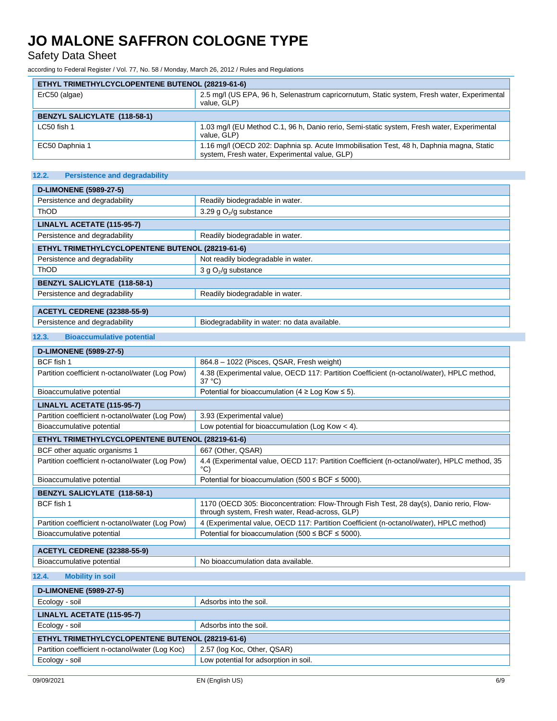Safety Data Sheet

according to Federal Register / Vol. 77, No. 58 / Monday, March 26, 2012 / Rules and Regulations

| ETHYL TRIMETHYLCYCLOPENTENE BUTENOL (28219-61-6) |                                                                                                                                          |
|--------------------------------------------------|------------------------------------------------------------------------------------------------------------------------------------------|
| ErC50 (algae)                                    | 2.5 mg/l (US EPA, 96 h, Selenastrum capricornutum, Static system, Fresh water, Experimental<br>value. GLP)                               |
| <b>BENZYL SALICYLATE (118-58-1)</b>              |                                                                                                                                          |
| $LC50$ fish 1                                    | 1.03 mg/l (EU Method C.1, 96 h, Danio rerio, Semi-static system, Fresh water, Experimental<br>value. GLP)                                |
| EC50 Daphnia 1                                   | 1.16 mg/l (OECD 202: Daphnia sp. Acute Immobilisation Test, 48 h, Daphnia magna, Static<br>system, Fresh water, Experimental value, GLP) |

| 12.2.<br><b>Persistence and degradability</b>    |                                     |  |
|--------------------------------------------------|-------------------------------------|--|
|                                                  |                                     |  |
| <b>D-LIMONENE (5989-27-5)</b>                    |                                     |  |
| Persistence and degradability                    | Readily biodegradable in water.     |  |
| <b>ThOD</b>                                      | 3.29 g $O_2$ /g substance           |  |
| LINALYL ACETATE (115-95-7)                       |                                     |  |
| Persistence and degradability                    | Readily biodegradable in water.     |  |
| ETHYL TRIMETHYLCYCLOPENTENE BUTENOL (28219-61-6) |                                     |  |
| Persistence and degradability                    | Not readily biodegradable in water. |  |
| ThOD                                             | 3 g $O_2$ /g substance              |  |
| <b>BENZYL SALICYLATE (118-58-1)</b>              |                                     |  |
| Persistence and degradability                    | Readily biodegradable in water.     |  |
|                                                  |                                     |  |
| <b>ACETYL CEDRENE (32388-55-9)</b>               |                                     |  |

| AULI IL ULUNLINE (32300-33-3) |                                               |
|-------------------------------|-----------------------------------------------|
| Persistence and degradability | Biodegradability in water: no data available. |
|                               |                                               |

### **12.3. Bioaccumulative potential**

| <b>D-LIMONENE (5989-27-5)</b>                    |                                                                                                                                           |  |
|--------------------------------------------------|-------------------------------------------------------------------------------------------------------------------------------------------|--|
| BCF fish 1                                       | 864.8 - 1022 (Pisces, QSAR, Fresh weight)                                                                                                 |  |
| Partition coefficient n-octanol/water (Log Pow)  | 4.38 (Experimental value, OECD 117: Partition Coefficient (n-octanol/water), HPLC method,<br>$37^{\circ}$ C)                              |  |
| Bioaccumulative potential                        | Potential for bioaccumulation (4 $\geq$ Log Kow $\leq$ 5).                                                                                |  |
| LINALYL ACETATE (115-95-7)                       |                                                                                                                                           |  |
| Partition coefficient n-octanol/water (Log Pow)  | 3.93 (Experimental value)                                                                                                                 |  |
| Bioaccumulative potential                        | Low potential for bioaccumulation (Log Kow $<$ 4).                                                                                        |  |
| ETHYL TRIMETHYLCYCLOPENTENE BUTENOL (28219-61-6) |                                                                                                                                           |  |
| BCF other aquatic organisms 1                    | 667 (Other, QSAR)                                                                                                                         |  |
| Partition coefficient n-octanol/water (Log Pow)  | 4.4 (Experimental value, OECD 117: Partition Coefficient (n-octanol/water), HPLC method, 35<br>$^{\circ}$ C)                              |  |
| Bioaccumulative potential                        | Potential for bioaccumulation (500 $\leq$ BCF $\leq$ 5000).                                                                               |  |
| <b>BENZYL SALICYLATE (118-58-1)</b>              |                                                                                                                                           |  |
| BCF fish 1                                       | 1170 (OECD 305: Bioconcentration: Flow-Through Fish Test, 28 day(s), Danio rerio, Flow-<br>through system, Fresh water, Read-across, GLP) |  |
| Partition coefficient n-octanol/water (Log Pow)  | 4 (Experimental value, OECD 117: Partition Coefficient (n-octanol/water), HPLC method)                                                    |  |
| Bioaccumulative potential                        | Potential for bioaccumulation (500 $\leq$ BCF $\leq$ 5000).                                                                               |  |
| <b>ACETYL CEDRENE (32388-55-9)</b>               |                                                                                                                                           |  |
| Bioaccumulative potential                        | No bioaccumulation data available.                                                                                                        |  |
| <b>Mobility in soil</b><br>12.4.                 |                                                                                                                                           |  |
| <b>D-LIMONENE (5989-27-5)</b>                    |                                                                                                                                           |  |
| Ecology - soil                                   | Adsorbs into the soil.                                                                                                                    |  |
| LINALYL ACETATE (115-95-7)                       |                                                                                                                                           |  |
| Ecology - soil                                   | Adsorbs into the soil.                                                                                                                    |  |
| ETHYL TRIMETHYLCYCLOPENTENE BUTENOL (28219-61-6) |                                                                                                                                           |  |
| Partition coefficient n-octanol/water (Log Koc)  | 2.57 (log Koc, Other, QSAR)                                                                                                               |  |
| Ecology - soil                                   | Low potential for adsorption in soil.                                                                                                     |  |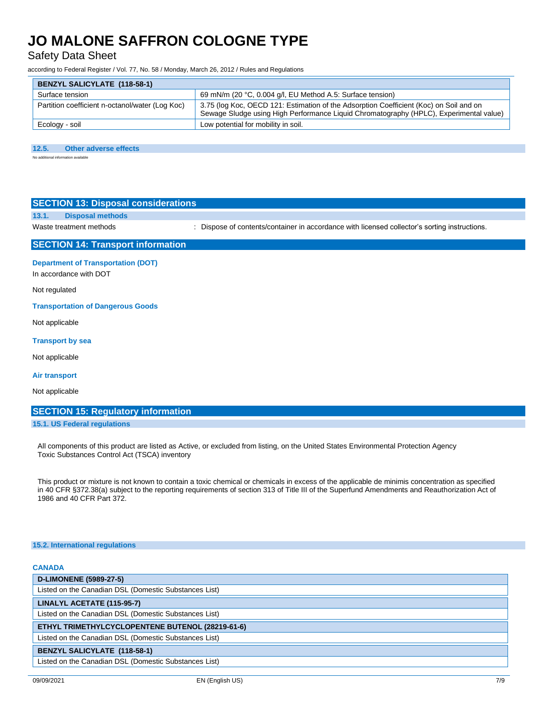Safety Data Sheet

according to Federal Register / Vol. 77, No. 58 / Monday, March 26, 2012 / Rules and Regulations

| <b>BENZYL SALICYLATE (118-58-1)</b>             |                                                                                                                                                                                  |
|-------------------------------------------------|----------------------------------------------------------------------------------------------------------------------------------------------------------------------------------|
| Surface tension                                 | 69 mN/m (20 °C, 0.004 g/l, EU Method A.5: Surface tension)                                                                                                                       |
| Partition coefficient n-octanol/water (Log Koc) | 3.75 (log Koc, OECD 121: Estimation of the Adsorption Coefficient (Koc) on Soil and on<br>Sewage Sludge using High Performance Liquid Chromatography (HPLC), Experimental value) |
| Ecology - soil                                  | Low potential for mobility in soil.                                                                                                                                              |

#### **12.5. Other adverse effects**

No additional information av

|       | <b>SECTION 13: Disposal considerations</b> |
|-------|--------------------------------------------|
| 13.1. | <b>Disposal methods</b>                    |

Waste treatment methods : Dispose of contents/container in accordance with licensed collector's sorting instructions.

### **SECTION 14: Transport information**

**Department of Transportation (DOT)** In accordance with DOT

Not regulated

**Transportation of Dangerous Goods**

Not applicable

#### **Transport by sea**

Not applicable

**Air transport**

Not applicable

### **SECTION 15: Regulatory information**

#### **15.1. US Federal regulations**

All components of this product are listed as Active, or excluded from listing, on the United States Environmental Protection Agency Toxic Substances Control Act (TSCA) inventory

This product or mixture is not known to contain a toxic chemical or chemicals in excess of the applicable de minimis concentration as specified in 40 CFR §372.38(a) subject to the reporting requirements of section 313 of Title III of the Superfund Amendments and Reauthorization Act of 1986 and 40 CFR Part 372.

#### **15.2. International regulations**

### **CANADA D-LIMONENE (5989-27-5)** Listed on the Canadian DSL (Domestic Substances List) **LINALYL ACETATE (115-95-7)** Listed on the Canadian DSL (Domestic Substances List) **ETHYL TRIMETHYLCYCLOPENTENE BUTENOL (28219-61-6)** Listed on the Canadian DSL (Domestic Substances List) **BENZYL SALICYLATE (118-58-1)** Listed on the Canadian DSL (Domestic Substances List)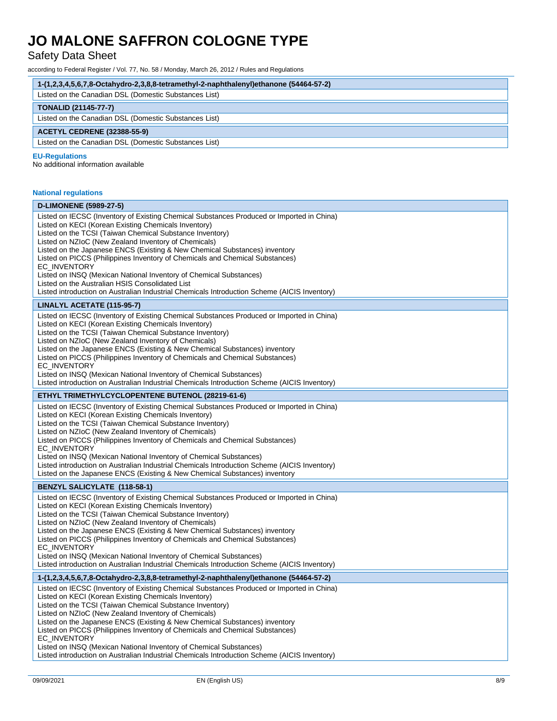## Safety Data Sheet

according to Federal Register / Vol. 77, No. 58 / Monday, March 26, 2012 / Rules and Regulations

| 1-(1,2,3,4,5,6,7,8-Octahydro-2,3,8,8-tetramethyl-2-naphthalenyl)ethanone (54464-57-2)                                                                                                                                                                                                                                                                                                                                                                                                                                                                                                                                     |
|---------------------------------------------------------------------------------------------------------------------------------------------------------------------------------------------------------------------------------------------------------------------------------------------------------------------------------------------------------------------------------------------------------------------------------------------------------------------------------------------------------------------------------------------------------------------------------------------------------------------------|
| Listed on the Canadian DSL (Domestic Substances List)                                                                                                                                                                                                                                                                                                                                                                                                                                                                                                                                                                     |
| <b>TONALID (21145-77-7)</b>                                                                                                                                                                                                                                                                                                                                                                                                                                                                                                                                                                                               |
| Listed on the Canadian DSL (Domestic Substances List)                                                                                                                                                                                                                                                                                                                                                                                                                                                                                                                                                                     |
| <b>ACETYL CEDRENE (32388-55-9)</b>                                                                                                                                                                                                                                                                                                                                                                                                                                                                                                                                                                                        |
| Listed on the Canadian DSL (Domestic Substances List)                                                                                                                                                                                                                                                                                                                                                                                                                                                                                                                                                                     |
| <b>EU-Regulations</b><br>No additional information available                                                                                                                                                                                                                                                                                                                                                                                                                                                                                                                                                              |
| <b>National regulations</b>                                                                                                                                                                                                                                                                                                                                                                                                                                                                                                                                                                                               |
| <b>D-LIMONENE (5989-27-5)</b>                                                                                                                                                                                                                                                                                                                                                                                                                                                                                                                                                                                             |
| Listed on IECSC (Inventory of Existing Chemical Substances Produced or Imported in China)<br>Listed on KECI (Korean Existing Chemicals Inventory)<br>Listed on the TCSI (Taiwan Chemical Substance Inventory)<br>Listed on NZIoC (New Zealand Inventory of Chemicals)<br>Listed on the Japanese ENCS (Existing & New Chemical Substances) inventory                                                                                                                                                                                                                                                                       |
| Listed on PICCS (Philippines Inventory of Chemicals and Chemical Substances)<br><b>EC INVENTORY</b>                                                                                                                                                                                                                                                                                                                                                                                                                                                                                                                       |
| Listed on INSQ (Mexican National Inventory of Chemical Substances)<br>Listed on the Australian HSIS Consolidated List<br>Listed introduction on Australian Industrial Chemicals Introduction Scheme (AICIS Inventory)                                                                                                                                                                                                                                                                                                                                                                                                     |
| LINALYL ACETATE (115-95-7)                                                                                                                                                                                                                                                                                                                                                                                                                                                                                                                                                                                                |
| Listed on IECSC (Inventory of Existing Chemical Substances Produced or Imported in China)<br>Listed on KECI (Korean Existing Chemicals Inventory)<br>Listed on the TCSI (Taiwan Chemical Substance Inventory)<br>Listed on NZIoC (New Zealand Inventory of Chemicals)<br>Listed on the Japanese ENCS (Existing & New Chemical Substances) inventory<br>Listed on PICCS (Philippines Inventory of Chemicals and Chemical Substances)<br>EC_INVENTORY<br>Listed on INSQ (Mexican National Inventory of Chemical Substances)                                                                                                 |
| Listed introduction on Australian Industrial Chemicals Introduction Scheme (AICIS Inventory)                                                                                                                                                                                                                                                                                                                                                                                                                                                                                                                              |
| ETHYL TRIMETHYLCYCLOPENTENE BUTENOL (28219-61-6)                                                                                                                                                                                                                                                                                                                                                                                                                                                                                                                                                                          |
| Listed on IECSC (Inventory of Existing Chemical Substances Produced or Imported in China)<br>Listed on KECI (Korean Existing Chemicals Inventory)<br>Listed on the TCSI (Taiwan Chemical Substance Inventory)<br>Listed on NZIoC (New Zealand Inventory of Chemicals)<br>Listed on PICCS (Philippines Inventory of Chemicals and Chemical Substances)<br>EC_INVENTORY<br>Listed on INSQ (Mexican National Inventory of Chemical Substances)<br>Listed introduction on Australian Industrial Chemicals Introduction Scheme (AICIS Inventory)<br>Listed on the Japanese ENCS (Existing & New Chemical Substances) inventory |
| <b>BENZYL SALICYLATE (118-58-1)</b>                                                                                                                                                                                                                                                                                                                                                                                                                                                                                                                                                                                       |
| Listed on IECSC (Inventory of Existing Chemical Substances Produced or Imported in China)<br>Listed on KECI (Korean Existing Chemicals Inventory)<br>Listed on the TCSI (Taiwan Chemical Substance Inventory)<br>Listed on NZIoC (New Zealand Inventory of Chemicals)<br>Listed on the Japanese ENCS (Existing & New Chemical Substances) inventory<br>Listed on PICCS (Philippines Inventory of Chemicals and Chemical Substances)<br>EC_INVENTORY<br>Listed on INSQ (Mexican National Inventory of Chemical Substances)<br>Listed introduction on Australian Industrial Chemicals Introduction Scheme (AICIS Inventory) |
| 1-(1,2,3,4,5,6,7,8-Octahydro-2,3,8,8-tetramethyl-2-naphthalenyl)ethanone (54464-57-2)                                                                                                                                                                                                                                                                                                                                                                                                                                                                                                                                     |
| Listed on IECSC (Inventory of Existing Chemical Substances Produced or Imported in China)<br>Listed on KECI (Korean Existing Chemicals Inventory)<br>Listed on the TCSI (Taiwan Chemical Substance Inventory)<br>Listed on NZIoC (New Zealand Inventory of Chemicals)<br>Listed on the Japanese ENCS (Existing & New Chemical Substances) inventory<br>Listed on PICCS (Philippines Inventory of Chemicals and Chemical Substances)<br>EC_INVENTORY                                                                                                                                                                       |
| Listed on INSQ (Mexican National Inventory of Chemical Substances)<br>Listed introduction on Australian Industrial Chemicals Introduction Scheme (AICIS Inventory)                                                                                                                                                                                                                                                                                                                                                                                                                                                        |